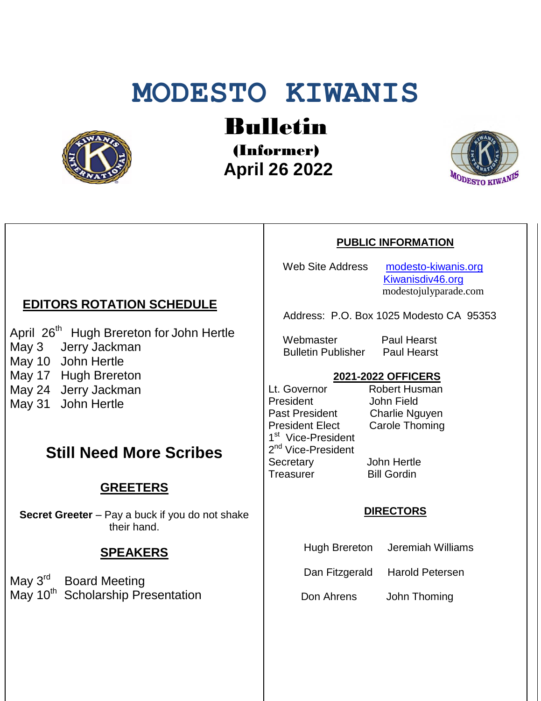# **MODESTO KIWANIS**



Bulletin

(Informer)  **April 26 2022**



#### **PUBLIC INFORMATION**

Web Site Address [modesto-kiwanis.org](http://modesto-kiwanis.org/) [Kiwanisdiv46.org](http://www.kiwanisdiv46.org/) modestojulyparade.com

Address: P.O. Box 1025 Modesto CA 95353

Webmaster Paul Hearst Bulletin Publisher Paul Hearst

# **2021-2022 OFFICERS**

Lt. Governor Robert Husman President John Field Past President Charlie Nguyen President Elect Carole Thoming 1<sup>st</sup> Vice-President 2<sup>nd</sup> Vice-President Secretary John Hertle Treasurer Bill Gordin

#### **DIRECTORS**

Hugh Brereton Jeremiah Williams

Dan Fitzgerald Harold Petersen

Don Ahrens John Thoming

## **EDITORS ROTATION SCHEDULE**

April 26<sup>th</sup> Hugh Brereton for John Hertle May 3 Jerry Jackman May 10 John Hertle May 17 Hugh Brereton May 24 Jerry Jackman May 31 John Hertle

# **Still Need More Scribes**

## **GREETERS**

**Secret Greeter** – Pay a buck if you do not shake their hand.

#### **SPEAKERS**

May 3<sup>rd</sup> Board Meeting May 10<sup>th</sup> Scholarship Presentation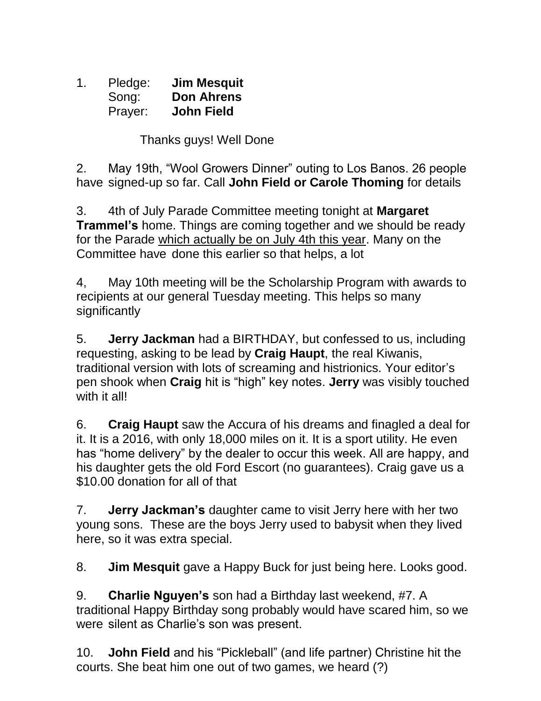1. Pledge: **Jim Mesquit** Song: **Don Ahrens** Prayer: **John Field**

Thanks guys! Well Done

2. May 19th, "Wool Growers Dinner" outing to Los Banos. 26 people have signed-up so far. Call **John Field or Carole Thoming** for details

3. 4th of July Parade Committee meeting tonight at **Margaret Trammel's** home. Things are coming together and we should be ready for the Parade which actually be on July 4th this year. Many on the Committee have done this earlier so that helps, a lot

4, May 10th meeting will be the Scholarship Program with awards to recipients at our general Tuesday meeting. This helps so many significantly

5. **Jerry Jackman** had a BIRTHDAY, but confessed to us, including requesting, asking to be lead by **Craig Haupt**, the real Kiwanis, traditional version with lots of screaming and histrionics. Your editor's pen shook when **Craig** hit is "high" key notes. **Jerry** was visibly touched with it all!

6. **Craig Haupt** saw the Accura of his dreams and finagled a deal for it. It is a 2016, with only 18,000 miles on it. It is a sport utility. He even has "home delivery" by the dealer to occur this week. All are happy, and his daughter gets the old Ford Escort (no guarantees). Craig gave us a \$10.00 donation for all of that

7. **Jerry Jackman's** daughter came to visit Jerry here with her two young sons. These are the boys Jerry used to babysit when they lived here, so it was extra special.

8. **Jim Mesquit** gave a Happy Buck for just being here. Looks good.

9. **Charlie Nguyen's** son had a Birthday last weekend, #7. A traditional Happy Birthday song probably would have scared him, so we were silent as Charlie's son was present.

10. **John Field** and his "Pickleball" (and life partner) Christine hit the courts. She beat him one out of two games, we heard (?)